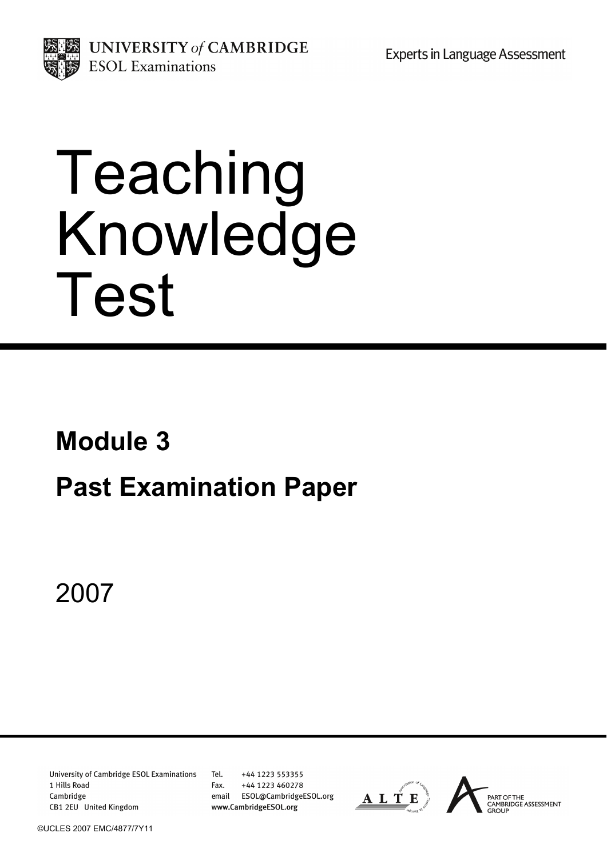**Experts in Language Assessment** 



UNIVERSITY of CAMBRIDGE **ESOL** Examinations

# Teaching Knowledge Test

# **Module 3 Past Examination Paper**

2007

**University of Cambridge ESOL Examinations** 1 Hills Road Cambridge CB1 2EU United Kingdom

Tel. +44 1223 553355 Fax. +44 1223 460278 email ESOL@CambridgeESOL.org www.CambridgeESOL.org

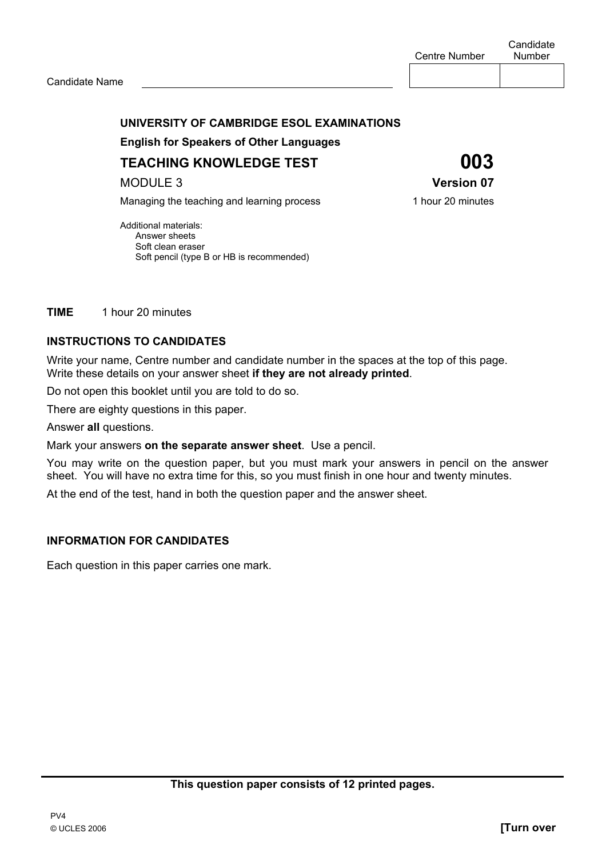#### **UNIVERSITY OF CAMBRIDGE ESOL EXAMINATIONS**

 **English for Speakers of Other Languages** 

**TEACHING KNOWLEDGE TEST 003** 

MODULE 3 **Version 07** 

Managing the teaching and learning process 1 hour 20 minutes

Additional materials: Answer sheets Soft clean eraser Soft pencil (type B or HB is recommended)

**TIME** 1 hour 20 minutes

#### **INSTRUCTIONS TO CANDIDATES**

Write your name, Centre number and candidate number in the spaces at the top of this page. Write these details on your answer sheet **if they are not already printed**.

Do not open this booklet until you are told to do so.

There are eighty questions in this paper.

Answer **all** questions.

Mark your answers **on the separate answer sheet**. Use a pencil.

You may write on the question paper, but you must mark your answers in pencil on the answer sheet. You will have no extra time for this, so you must finish in one hour and twenty minutes.

At the end of the test, hand in both the question paper and the answer sheet.

#### **INFORMATION FOR CANDIDATES**

Each question in this paper carries one mark.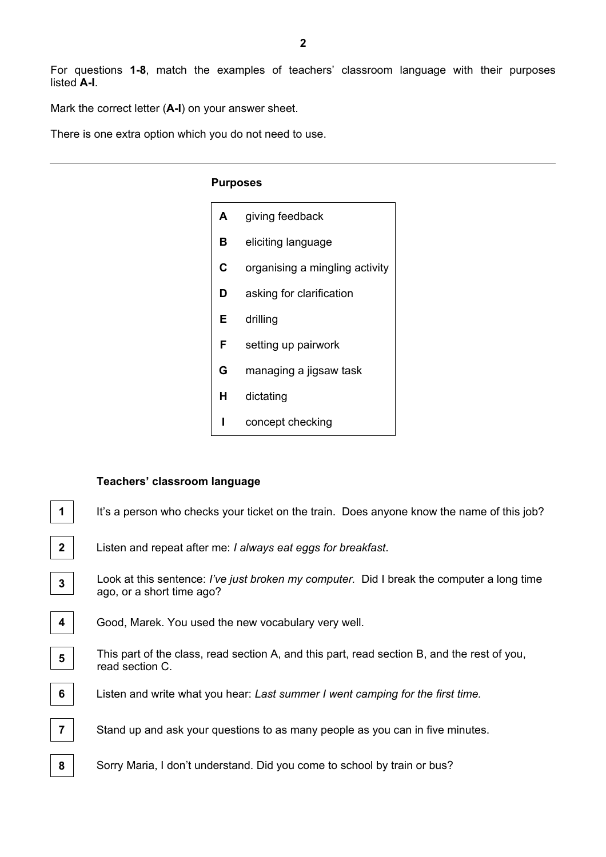For questions **1-8**, match the examples of teachers' classroom language with their purposes listed **A-I**.

Mark the correct letter (**A-I**) on your answer sheet.

There is one extra option which you do not need to use.

#### **Purposes**

| A | giving feedback                |
|---|--------------------------------|
| в | eliciting language             |
| C | organising a mingling activity |
| D | asking for clarification       |
| Е | drilling                       |
| F | setting up pairwork            |
| G | managing a jigsaw task         |
| н | dictating                      |
|   | concept checking               |

#### **Teachers' classroom language**

| 1                       | It's a person who checks your ticket on the train. Does anyone know the name of this job?                              |
|-------------------------|------------------------------------------------------------------------------------------------------------------------|
| 2 <sup>1</sup>          | Listen and repeat after me: I always eat eggs for breakfast.                                                           |
| $\mathbf{3}$            | Look at this sentence: I've just broken my computer. Did I break the computer a long time<br>ago, or a short time ago? |
| $\overline{\mathbf{4}}$ | Good, Marek. You used the new vocabulary very well.                                                                    |
| 5                       | This part of the class, read section A, and this part, read section B, and the rest of you,<br>read section C.         |
| 6                       | Listen and write what you hear: Last summer I went camping for the first time.                                         |
| $\overline{7}$          | Stand up and ask your questions to as many people as you can in five minutes.                                          |
| 8                       | Sorry Maria, I don't understand. Did you come to school by train or bus?                                               |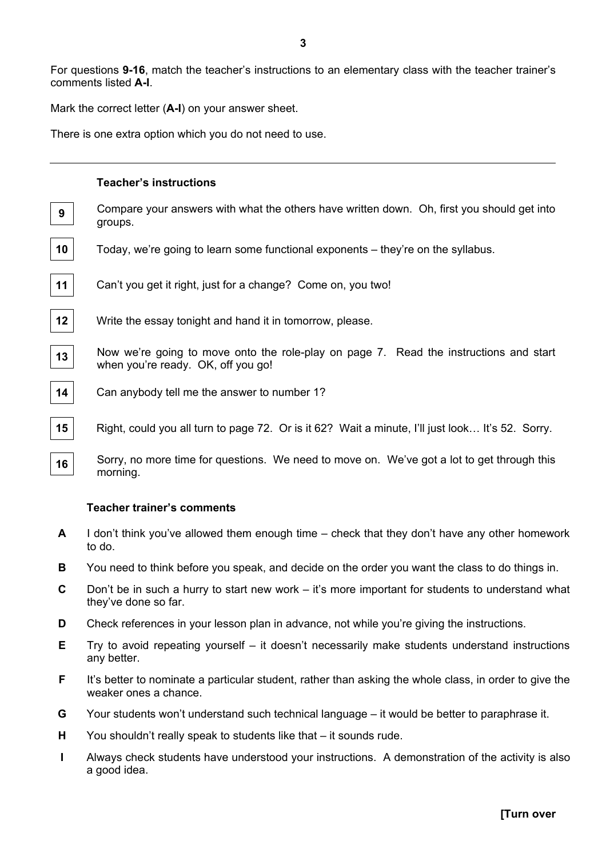For questions **9-16**, match the teacher's instructions to an elementary class with the teacher trainer's comments listed **A-I**.

Mark the correct letter (**A-I**) on your answer sheet.

There is one extra option which you do not need to use.

## **Teacher's instructions 9** Compare your answers with what the others have written down. Oh, first you should get into groups. **10** Today, we're going to learn some functional exponents – they're on the syllabus. **11** Can't you get it right, just for a change? Come on, you two! **12** Write the essay tonight and hand it in tomorrow, please. 13 Now we're going to move onto the role-play on page 7. Read the instructions and start when you're ready. OK, off you go! **14** Can anybody tell me the answer to number 1? **15** Right, could you all turn to page 72. Or is it 62? Wait a minute, I'll just look... It's 52. Sorry.

16 Sorry, no more time for questions. We need to move on. We've got a lot to get through this morning.

#### **Teacher trainer's comments**

- **A** I don't think you've allowed them enough time check that they don't have any other homework to do.
- **B** You need to think before you speak, and decide on the order you want the class to do things in.
- **C** Don't be in such a hurry to start new work it's more important for students to understand what they've done so far.
- **D** Check references in your lesson plan in advance, not while you're giving the instructions.
- **E** Try to avoid repeating yourself it doesn't necessarily make students understand instructions any better.
- **F** It's better to nominate a particular student, rather than asking the whole class, in order to give the weaker ones a chance.
- **G** Your students won't understand such technical language it would be better to paraphrase it.
- **H** You shouldn't really speak to students like that it sounds rude.
- **I** Always check students have understood your instructions. A demonstration of the activity is also a good idea.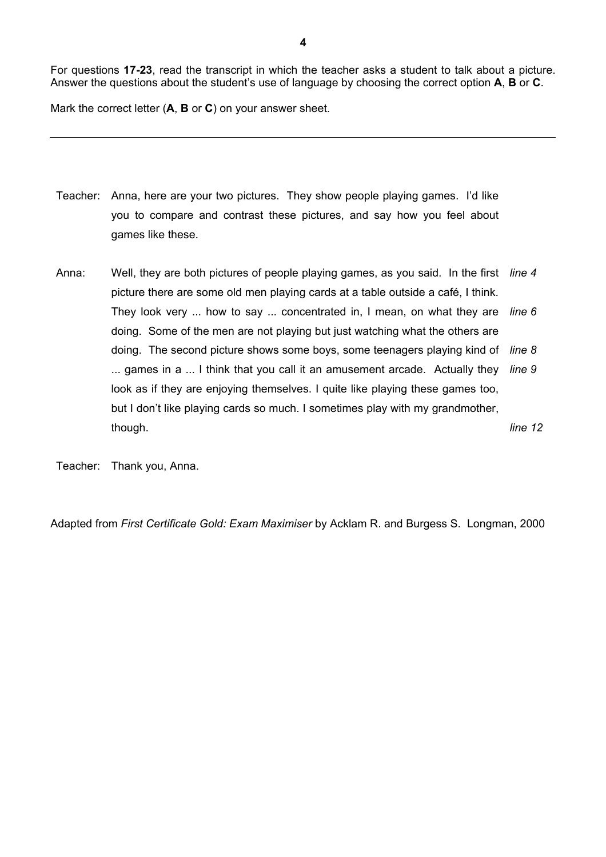For questions **17-23**, read the transcript in which the teacher asks a student to talk about a picture. Answer the questions about the student's use of language by choosing the correct option **A**, **B** or **C**.

Mark the correct letter (**A**, **B** or **C**) on your answer sheet.

- Teacher: Anna, here are your two pictures. They show people playing games. I'd like you to compare and contrast these pictures, and say how you feel about games like these.
- Anna: Well, they are both pictures of people playing games, as you said. In the first *line 4*  picture there are some old men playing cards at a table outside a café, I think. They look very ... how to say ... concentrated in, I mean, on what they are *line 6*  doing. Some of the men are not playing but just watching what the others are doing. The second picture shows some boys, some teenagers playing kind of *line 8*  ... games in a ... I think that you call it an amusement arcade. Actually they *line 9*  look as if they are enjoying themselves. I quite like playing these games too, but I don't like playing cards so much. I sometimes play with my grandmother, though. *line 12*

Teacher: Thank you, Anna.

Adapted from *First Certificate Gold: Exam Maximiser* by Acklam R. and Burgess S. Longman, 2000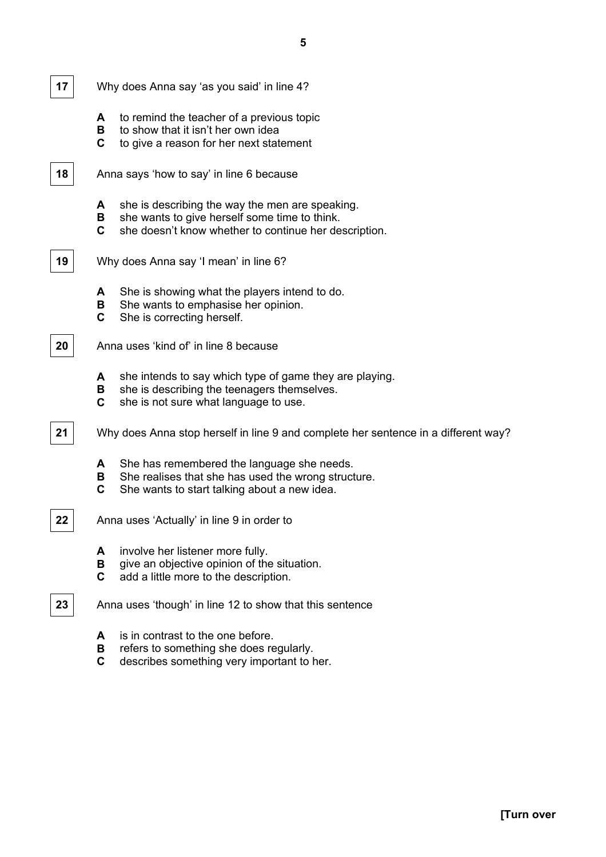

**17** Why does Anna say 'as you said' in line 4?

- **A** to remind the teacher of a previous topic
- **B** to show that it isn't her own idea
- **C** to give a reason for her next statement

**18** Anna says 'how to say' in line 6 because

- **A** she is describing the way the men are speaking.
- **B** she wants to give herself some time to think.
- **C** she doesn't know whether to continue her description.
- 

**19** Why does Anna say 'I mean' in line 6?

- **A** She is showing what the players intend to do.
- **B** She wants to emphasise her opinion.
- **C** She is correcting herself.

**20** Anna uses 'kind of' in line 8 because

- **A** she intends to say which type of game they are playing.
- **B** she is describing the teenagers themselves.
- **C** she is not sure what language to use.

**21** Why does Anna stop herself in line 9 and complete her sentence in a different way?

- **A** She has remembered the language she needs.
- **B** She realises that she has used the wrong structure.
- **C** She wants to start talking about a new idea.

**22** Anna uses 'Actually' in line 9 in order to

- **A** involve her listener more fully.
- **B** qive an objective opinion of the situation.
- **C** add a little more to the description.

**23** Anna uses 'though' in line 12 to show that this sentence

- **A** is in contrast to the one before.
- **B** refers to something she does regularly.
- **C** describes something very important to her.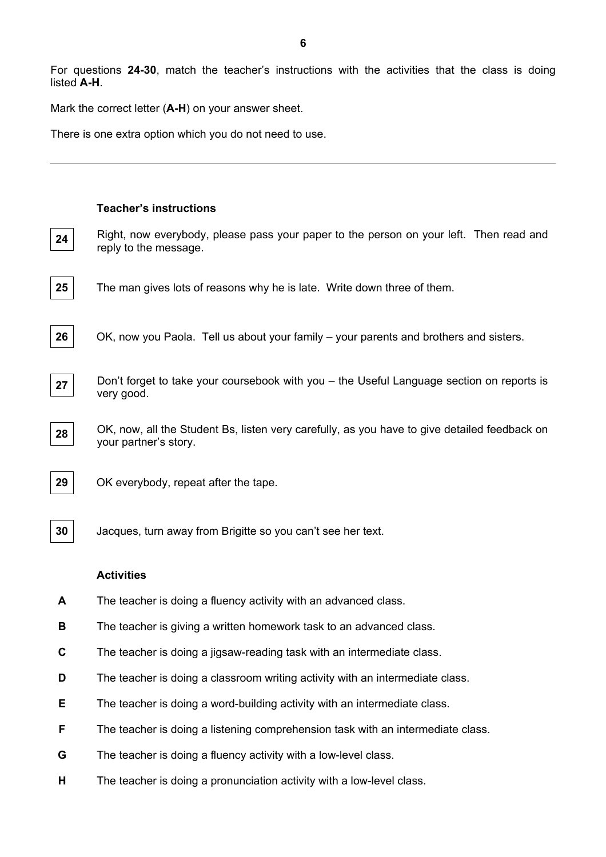For questions **24-30**, match the teacher's instructions with the activities that the class is doing listed **A-H**.

Mark the correct letter (**A-H**) on your answer sheet.

There is one extra option which you do not need to use.

|    | <b>Teacher's instructions</b>                                                                                         |
|----|-----------------------------------------------------------------------------------------------------------------------|
| 24 | Right, now everybody, please pass your paper to the person on your left. Then read and<br>reply to the message.       |
| 25 | The man gives lots of reasons why he is late. Write down three of them.                                               |
| 26 | OK, now you Paola. Tell us about your family – your parents and brothers and sisters.                                 |
| 27 | Don't forget to take your coursebook with you – the Useful Language section on reports is<br>very good.               |
| 28 | OK, now, all the Student Bs, listen very carefully, as you have to give detailed feedback on<br>your partner's story. |
| 29 | OK everybody, repeat after the tape.                                                                                  |
| 30 | Jacques, turn away from Brigitte so you can't see her text.                                                           |
|    | <b>Activities</b>                                                                                                     |
| A  | The teacher is doing a fluency activity with an advanced class.                                                       |
| в  | The teacher is giving a written homework task to an advanced class                                                    |
| C  | The teacher is doing a jigsaw-reading task with an intermediate class.                                                |
| D  | The teacher is doing a classroom writing activity with an intermediate class.                                         |
| Е  | The teacher is doing a word-building activity with an intermediate class.                                             |
| F  | The teacher is doing a listening comprehension task with an intermediate class.                                       |

- **G** The teacher is doing a fluency activity with a low-level class.
- **H** The teacher is doing a pronunciation activity with a low-level class.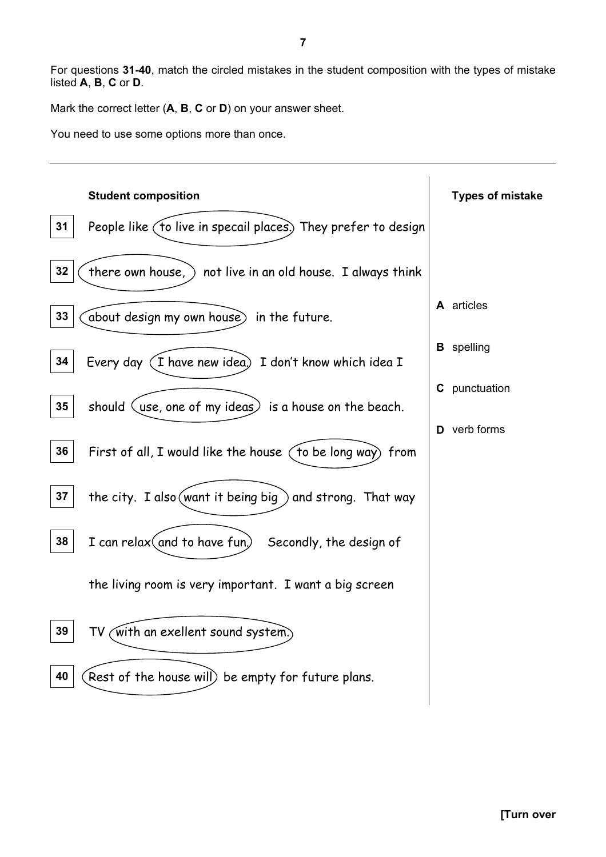For questions **31-40**, match the circled mistakes in the student composition with the types of mistake listed **A**, **B**, **C** or **D**.

Mark the correct letter (**A**, **B**, **C** or **D**) on your answer sheet.

You need to use some options more than once.

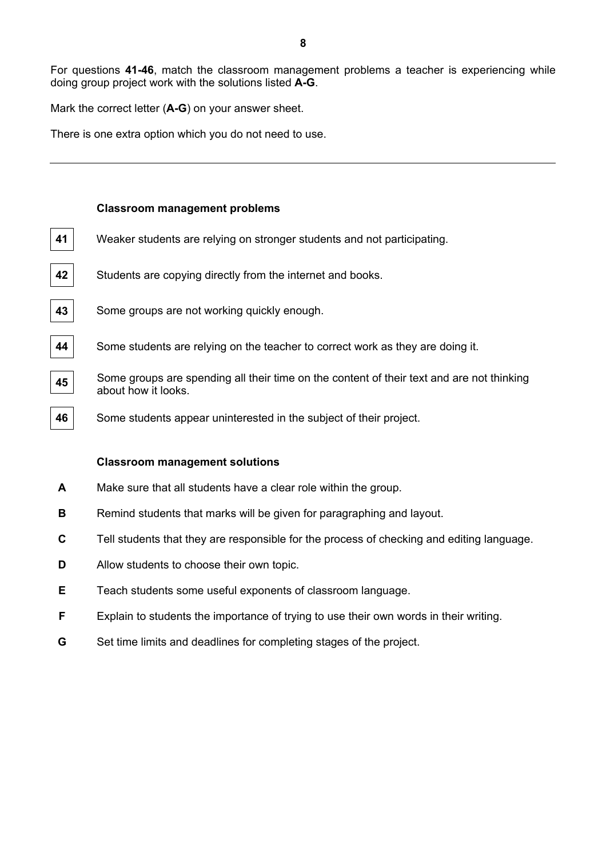For questions **41-46**, match the classroom management problems a teacher is experiencing while doing group project work with the solutions listed **A-G**.

Mark the correct letter (**A-G**) on your answer sheet.

There is one extra option which you do not need to use.

#### **Classroom management problems**

- **41** Weaker students are relying on stronger students and not participating.
- **42** Students are copying directly from the internet and books.
- **43** Some groups are not working quickly enough.
- **44** Some students are relying on the teacher to correct work as they are doing it.
- **45** Some groups are spending all their time on the content of their text and are not thinking about how it looks.
- **46** Some students appear uninterested in the subject of their project.

#### **Classroom management solutions**

- **A** Make sure that all students have a clear role within the group.
- **B** Remind students that marks will be given for paragraphing and layout.
- **C** Tell students that they are responsible for the process of checking and editing language.
- **D** Allow students to choose their own topic.
- **E** Teach students some useful exponents of classroom language.
- **F** Explain to students the importance of trying to use their own words in their writing.
- **G** Set time limits and deadlines for completing stages of the project.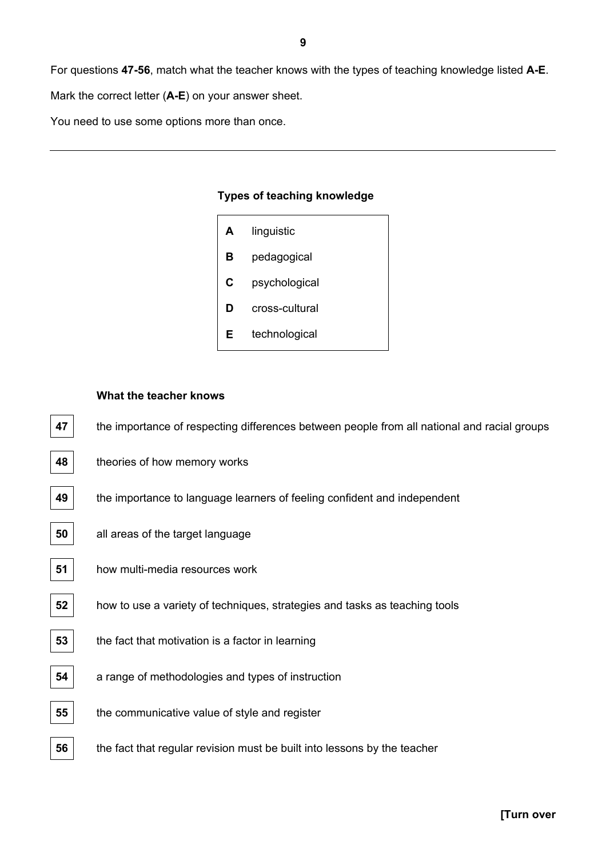For questions **47-56**, match what the teacher knows with the types of teaching knowledge listed **A-E**.

Mark the correct letter (**A-E**) on your answer sheet.

You need to use some options more than once.

#### **Types of teaching knowledge**

| A | linguistic     |
|---|----------------|
| в | pedagogical    |
| C | psychological  |
| D | cross-cultural |
| Е | technological  |

#### **What the teacher knows**

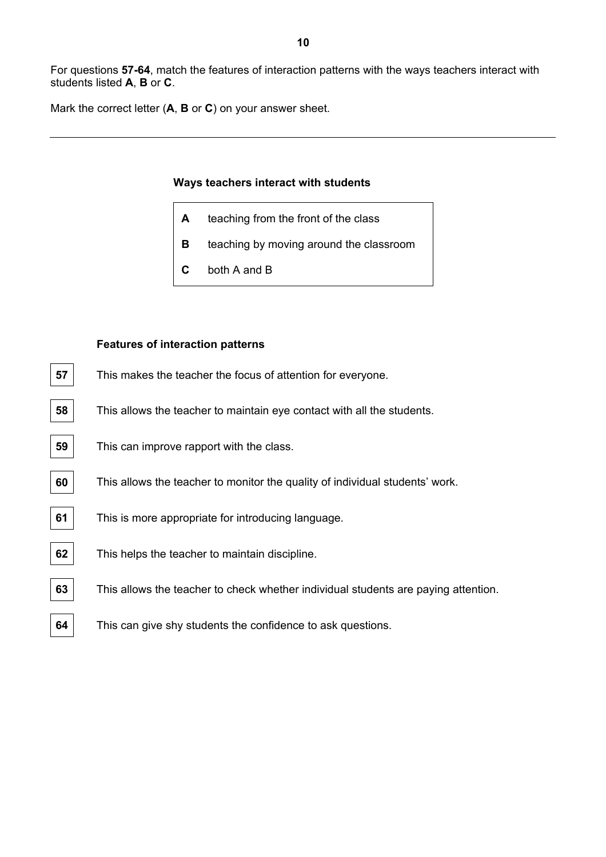For questions **57-64**, match the features of interaction patterns with the ways teachers interact with students listed **A**, **B** or **C**.

Mark the correct letter (**A**, **B** or **C**) on your answer sheet.

#### **Ways teachers interact with students**

- **A** teaching from the front of the class
- **B** teaching by moving around the classroom
- **C** both A and B

#### **Features of interaction patterns**

| 57 | This makes the teacher the focus of attention for everyone.                        |
|----|------------------------------------------------------------------------------------|
| 58 | This allows the teacher to maintain eye contact with all the students.             |
| 59 | This can improve rapport with the class.                                           |
| 60 | This allows the teacher to monitor the quality of individual students' work.       |
| 61 | This is more appropriate for introducing language.                                 |
| 62 | This helps the teacher to maintain discipline.                                     |
| 63 | This allows the teacher to check whether individual students are paying attention. |
| 64 | This can give shy students the confidence to ask questions.                        |
|    |                                                                                    |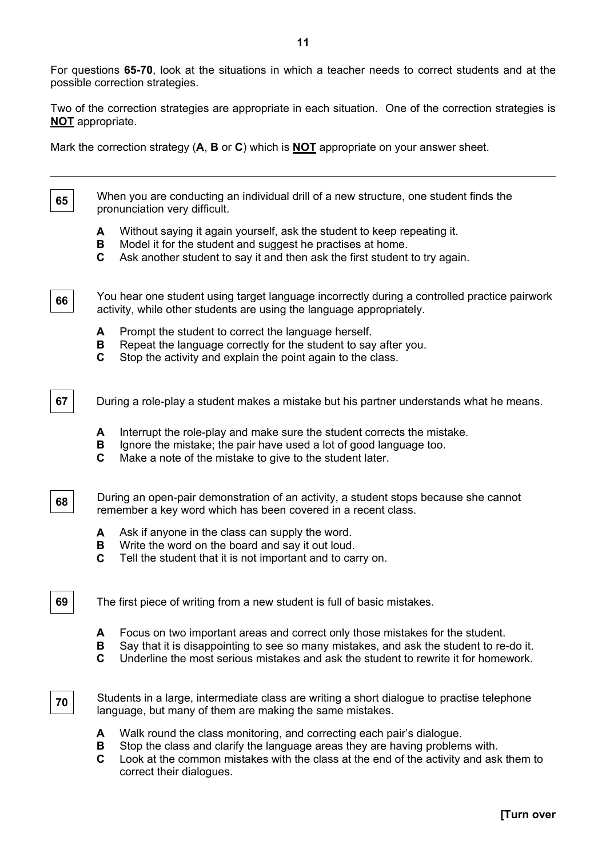For questions **65-70**, look at the situations in which a teacher needs to correct students and at the possible correction strategies.

Two of the correction strategies are appropriate in each situation. One of the correction strategies is **NOT** appropriate.

Mark the correction strategy (**A**, **B** or **C**) which is **NOT** appropriate on your answer sheet.

**65**  When you are conducting an individual drill of a new structure, one student finds the pronunciation very difficult.

- **A** Without saying it again yourself, ask the student to keep repeating it.
- **B** Model it for the student and suggest he practises at home.
- **C** Ask another student to say it and then ask the first student to try again.

You hear one student using target language incorrectly during a controlled practice pairwork activity, while other students are using the language appropriately.

- **A** Prompt the student to correct the language herself.
- **B** Repeat the language correctly for the student to say after you.
- **C** Stop the activity and explain the point again to the class.
- **67** During a role-play a student makes a mistake but his partner understands what he means.
	- **A** Interrupt the role-play and make sure the student corrects the mistake.
	- **B** lanore the mistake; the pair have used a lot of good language too.
	- **C** Make a note of the mistake to give to the student later.
- **68**  During an open-pair demonstration of an activity, a student stops because she cannot remember a key word which has been covered in a recent class.
	- **A** Ask if anyone in the class can supply the word.
	- **B** Write the word on the board and say it out loud.
	- **C** Tell the student that it is not important and to carry on.
- **69** The first piece of writing from a new student is full of basic mistakes.
	- **A** Focus on two important areas and correct only those mistakes for the student.
	- **B** Say that it is disappointing to see so many mistakes, and ask the student to re-do it.
	- **C** Underline the most serious mistakes and ask the student to rewrite it for homework.
- **70**

**66** 

Students in a large, intermediate class are writing a short dialogue to practise telephone language, but many of them are making the same mistakes.

- **A** Walk round the class monitoring, and correcting each pair's dialogue.
- **B** Stop the class and clarify the language areas they are having problems with.
- **C** Look at the common mistakes with the class at the end of the activity and ask them to correct their dialogues.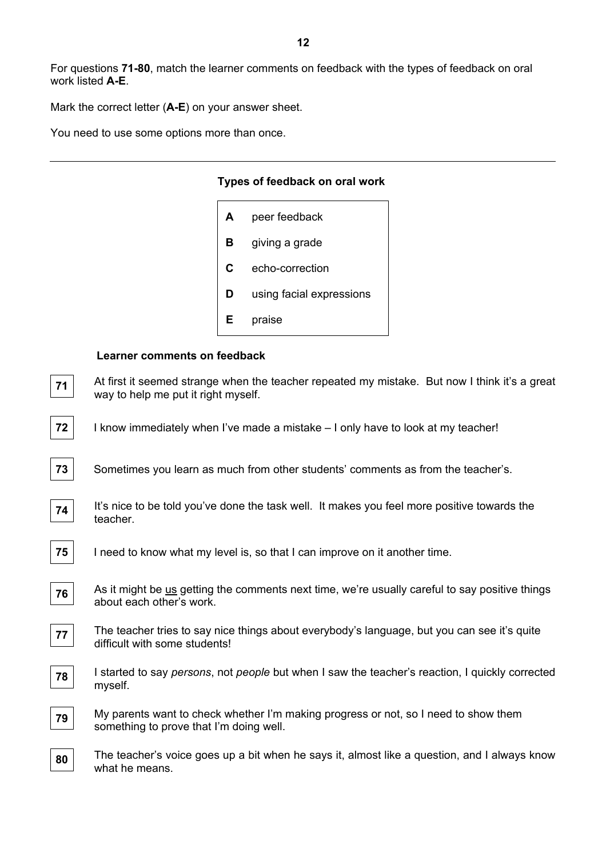For questions **71-80**, match the learner comments on feedback with the types of feedback on oral work listed **A-E**.

Mark the correct letter (**A-E**) on your answer sheet.

You need to use some options more than once.

#### **Types of feedback on oral work**

| A | peer feedback            |
|---|--------------------------|
| в | giving a grade           |
| C | echo-correction          |
| D | using facial expressions |
| Е | praise                   |

#### **Learner comments on feedback**

| 71 | At first it seemed strange when the teacher repeated my mistake. But now I think it's a great<br>way to help me put it right myself. |
|----|--------------------------------------------------------------------------------------------------------------------------------------|
| 72 | I know immediately when I've made a mistake – I only have to look at my teacher!                                                     |
| 73 | Sometimes you learn as much from other students' comments as from the teacher's.                                                     |
| 74 | It's nice to be told you've done the task well. It makes you feel more positive towards the<br>teacher.                              |
| 75 | I need to know what my level is, so that I can improve on it another time.                                                           |
| 76 | As it might be us getting the comments next time, we're usually careful to say positive things<br>about each other's work.           |
| 77 | The teacher tries to say nice things about everybody's language, but you can see it's quite<br>difficult with some students!         |
| 78 | I started to say <i>persons</i> , not <i>people</i> but when I saw the teacher's reaction, I quickly corrected<br>myself.            |
| 79 | My parents want to check whether I'm making progress or not, so I need to show them<br>something to prove that I'm doing well.       |
| 80 | The teacher's voice goes up a bit when he says it, almost like a question, and I always know<br>what he means.                       |